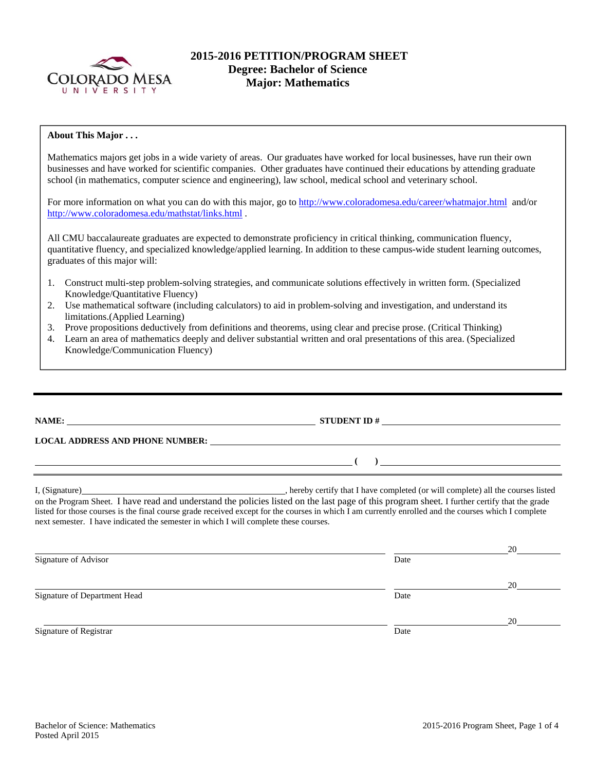

### **2015-2016 PETITION/PROGRAM SHEET Degree: Bachelor of Science Major: Mathematics**

### **About This Major . . .**

Mathematics majors get jobs in a wide variety of areas. Our graduates have worked for local businesses, have run their own businesses and have worked for scientific companies. Other graduates have continued their educations by attending graduate school (in mathematics, computer science and engineering), law school, medical school and veterinary school.

For more information on what you can do with this major, go to http://www.coloradomesa.edu/career/whatmajor.html and/or http://www.coloradomesa.edu/mathstat/links.html .

All CMU baccalaureate graduates are expected to demonstrate proficiency in critical thinking, communication fluency, quantitative fluency, and specialized knowledge/applied learning. In addition to these campus-wide student learning outcomes, graduates of this major will:

- 1. Construct multi-step problem-solving strategies, and communicate solutions effectively in written form. (Specialized Knowledge/Quantitative Fluency)
- 2. Use mathematical software (including calculators) to aid in problem-solving and investigation, and understand its limitations.(Applied Learning)
- 3. Prove propositions deductively from definitions and theorems, using clear and precise prose. (Critical Thinking)
- 4. Learn an area of mathematics deeply and deliver substantial written and oral presentations of this area. (Specialized Knowledge/Communication Fluency)

| <b>LOCAL ADDRESS AND PHONE NUMBER:</b>                                                                                                                                                                                                                                                                                                                                                        |                                                                |
|-----------------------------------------------------------------------------------------------------------------------------------------------------------------------------------------------------------------------------------------------------------------------------------------------------------------------------------------------------------------------------------------------|----------------------------------------------------------------|
|                                                                                                                                                                                                                                                                                                                                                                                               | ) and the contract of the contract of $\overline{\phantom{a}}$ |
| on the Program Sheet. I have read and understand the policies listed on the last page of this program sheet. I further certify that the grade<br>listed for those courses is the final course grade received except for the courses in which I am currently enrolled and the courses which I complete<br>next semester. I have indicated the semester in which I will complete these courses. |                                                                |

|                              |      | 20 |
|------------------------------|------|----|
| Signature of Advisor         | Date |    |
|                              |      | 20 |
| Signature of Department Head | Date |    |
|                              |      | 20 |
| Signature of Registrar       | Date |    |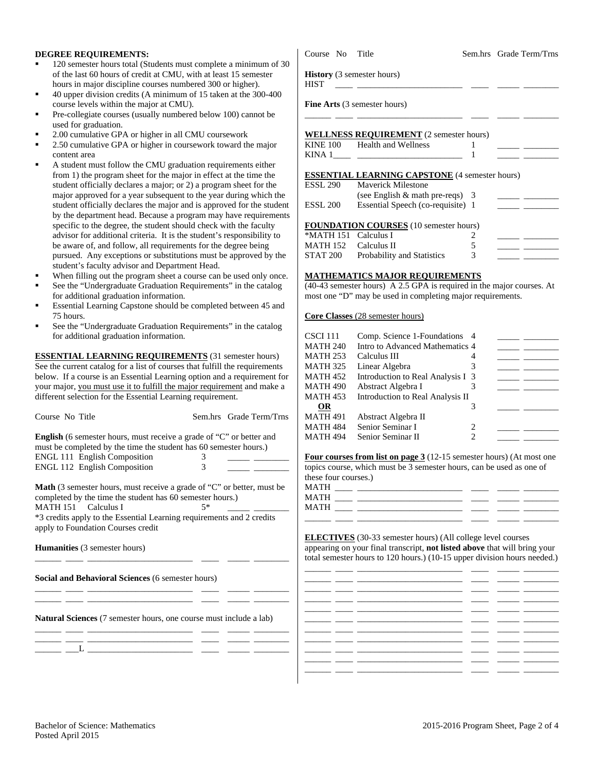#### **DEGREE REQUIREMENTS:**

- 120 semester hours total (Students must complete a minimum of of the last 60 hours of credit at CMU, with at least 15 semester hours in major discipline courses numbered 300 or higher).
- 40 upper division credits (A minimum of 15 taken at the 300-40 course levels within the major at CMU).
- Pre-collegiate courses (usually numbered below 100) cannot be used for graduation.
- 2.00 cumulative GPA or higher in all CMU coursework
- 2.50 cumulative GPA or higher in coursework toward the major content area
- A student must follow the CMU graduation requirements either from 1) the program sheet for the major in effect at the time the student officially declares a major; or 2) a program sheet for the major approved for a year subsequent to the year during which student officially declares the major and is approved for the student by the department head. Because a program may have requirem specific to the degree, the student should check with the faculty advisor for additional criteria. It is the student's responsibility to be aware of, and follow, all requirements for the degree being pursued. Any exceptions or substitutions must be approved by the student's faculty advisor and Department Head.
- When filling out the program sheet a course can be used only once.
- See the "Undergraduate Graduation Requirements" in the catalog for additional graduation information.
- Essential Learning Capstone should be completed between 45 and 75 hours.
- See the "Undergraduate Graduation Requirements" in the catalog for additional graduation information.

**ESSENTIAL LEARNING REQUIREMENTS** (31 semester hours) See the current catalog for a list of courses that fulfill the requirements below. If a course is an Essential Learning option and a requirement for your major, you must use it to fulfill the major requirement and make a different selection for the Essential Learning requirement.

**English** (6 semester hours, must receive a grade of "C" or better and must be completed by the time the student has 60 semester hours.) ENGL 111 English Composition 3 \_\_\_\_\_ \_\_\_\_\_\_\_\_ ENGL 112 English Composition 3 \_\_\_\_\_ \_\_\_\_\_\_\_\_

Course No Title Sem.hrs Grade Term/Trns

**Math** (3 semester hours, must receive a grade of "C" or better, must be completed by the time the student has 60 semester hours.) MATH 151 Calculus I  $5*$ 

\*3 credits apply to the Essential Learning requirements and 2 credits apply to Foundation Courses credit

\_\_\_\_\_\_ \_\_\_\_ \_\_\_\_\_\_\_\_\_\_\_\_\_\_\_\_\_\_\_\_\_\_\_\_ \_\_\_\_ \_\_\_\_\_ \_\_\_\_\_\_\_\_

\_\_\_\_\_\_ \_\_\_\_ \_\_\_\_\_\_\_\_\_\_\_\_\_\_\_\_\_\_\_\_\_\_\_\_ \_\_\_\_ \_\_\_\_\_ \_\_\_\_\_\_\_\_ \_\_\_\_\_\_ \_\_\_\_ \_\_\_\_\_\_\_\_\_\_\_\_\_\_\_\_\_\_\_\_\_\_\_\_ \_\_\_\_ \_\_\_\_\_ \_\_\_\_\_\_\_\_

**Humanities** (3 semester hours)

**Social and Behavioral Sciences** (6 semester hours)

**Natural Sciences** (7 semester hours, one course must include a lab) \_\_\_\_\_\_ \_\_\_\_ \_\_\_\_\_\_\_\_\_\_\_\_\_\_\_\_\_\_\_\_\_\_\_\_ \_\_\_\_ \_\_\_\_\_ \_\_\_\_\_\_\_\_

\_\_\_\_\_\_ \_\_\_\_ \_\_\_\_\_\_\_\_\_\_\_\_\_\_\_\_\_\_\_\_\_\_\_\_ \_\_\_\_ \_\_\_\_\_ \_\_\_\_\_\_\_\_ \_\_\_\_\_\_ \_\_\_L \_\_\_\_\_\_\_\_\_\_\_\_\_\_\_\_\_\_\_\_\_\_\_\_ \_\_\_\_ \_\_\_\_\_ \_\_\_\_\_\_\_\_

|               | Course No Title                                  |                                                                                                                                                                                                                                                                                                                           | Sem.hrs Grade Term/Trns                       |
|---------------|--------------------------------------------------|---------------------------------------------------------------------------------------------------------------------------------------------------------------------------------------------------------------------------------------------------------------------------------------------------------------------------|-----------------------------------------------|
| of 30         | <b>History</b> (3 semester hours)<br><b>HIST</b> | the control of the control of the control of the control of the control of the control of                                                                                                                                                                                                                                 |                                               |
| 00            |                                                  | <b>Fine Arts</b> (3 semester hours)                                                                                                                                                                                                                                                                                       |                                               |
|               |                                                  | <b>WELLNESS REQUIREMENT</b> (2 semester hours)                                                                                                                                                                                                                                                                            |                                               |
| r             |                                                  | KINE 100 Health and Wellness                                                                                                                                                                                                                                                                                              | <u> 1999 - Jan Barn Barn, man</u>             |
|               |                                                  | KINA 1 <sup>2</sup> $\frac{1}{2}$ $\frac{1}{2}$ $\frac{1}{2}$ $\frac{1}{2}$ $\frac{1}{2}$ $\frac{1}{2}$ $\frac{1}{2}$ $\frac{1}{2}$ $\frac{1}{2}$ $\frac{1}{2}$ $\frac{1}{2}$ $\frac{1}{2}$ $\frac{1}{2}$ $\frac{1}{2}$ $\frac{1}{2}$ $\frac{1}{2}$ $\frac{1}{2}$ $\frac{1}{2}$ $\frac{1}{2}$ $\frac{1}{2}$ $\frac{1}{2}$ |                                               |
|               |                                                  | <b>ESSENTIAL LEARNING CAPSTONE (4 semester hours)</b>                                                                                                                                                                                                                                                                     |                                               |
| ė             |                                                  | <b>ESSL 290</b> Maverick Milestone                                                                                                                                                                                                                                                                                        |                                               |
| the           |                                                  | (see English $&$ math pre-reqs) 3                                                                                                                                                                                                                                                                                         | <u> Den Bernard (Bernard Bernard Bernard)</u> |
| dent<br>ients | ESSL 200                                         | Essential Speech (co-requisite) 1                                                                                                                                                                                                                                                                                         | <u> 1990 - Jan Barnett, mars a</u>            |
|               |                                                  | <b>FOUNDATION COURSES</b> (10 semester hours)                                                                                                                                                                                                                                                                             |                                               |
| tο            | *MATH 151 - Calculus I                           |                                                                                                                                                                                                                                                                                                                           |                                               |

# MATH 152 Calculus II 5

## STAT 200 Probability and Statistics 3 **MATHEMATICS MAJOR REQUIREMENTS**

(40-43 semester hours) A 2.5 GPA is required in the major courses. At most one "D" may be used in completing major requirements.

**Core Classes** (28 semester hours)

| CSCI 111 | Comp. Science 1-Foundations 4     |   |  |
|----------|-----------------------------------|---|--|
| MATH 240 | Intro to Advanced Mathematics 4   |   |  |
| MATH 253 | Calculus III                      |   |  |
| MATH 325 | Linear Algebra                    |   |  |
| MATH 452 | Introduction to Real Analysis I 3 |   |  |
| MATH 490 | Abstract Algebra I                |   |  |
| MATH 453 | Introduction to Real Analysis II  |   |  |
| OR       |                                   |   |  |
| MATH 491 | Abstract Algebra II               |   |  |
| MATH 484 | Senior Seminar I                  | 2 |  |
| MATH 494 | Senior Seminar II                 | 2 |  |
|          |                                   |   |  |

**Four courses from list on page 3** (12-15 semester hours) (At most one topics course, which must be 3 semester hours, can be used as one of these four courses.)

| MATH |  |  |  |
|------|--|--|--|
| MATH |  |  |  |
| MATH |  |  |  |
|      |  |  |  |

**ELECTIVES** (30-33 semester hours) (All college level courses appearing on your final transcript, **not listed above** that will bring your total semester hours to 120 hours.) (10-15 upper division hours needed.)

|  | $\overline{\phantom{0}}$ |  |
|--|--------------------------|--|
|  |                          |  |
|  |                          |  |
|  |                          |  |
|  |                          |  |
|  |                          |  |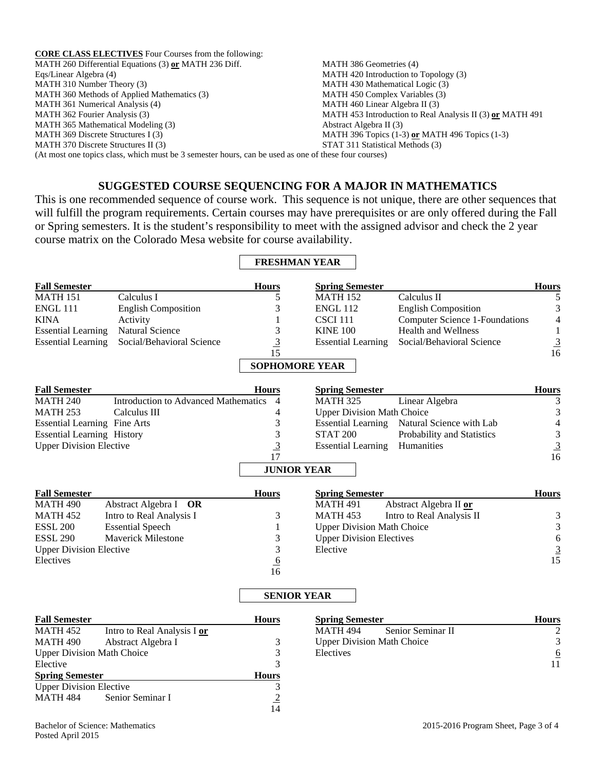**CORE CLASS ELECTIVES** Four Courses from the following: MATH 260 Differential Equations (3) **or** MATH 236 Diff. Eqs/Linear Algebra (4) MATH 310 Number Theory (3) MATH 360 Methods of Applied Mathematics (3) MATH 361 Numerical Analysis (4) MATH 362 Fourier Analysis (3) MATH 365 Mathematical Modeling (3) MATH 369 Discrete Structures I (3) MATH 370 Discrete Structures II (3) MATH 386 Geometries (4) MATH 420 Introduction to Topology (3) MATH 430 Mathematical Logic (3) MATH 450 Complex Variables (3) MATH 460 Linear Algebra II (3) MATH 453 Introduction to Real Analysis II (3) **or** MATH 491 Abstract Algebra II (3) MATH 396 Topics (1-3) **or** MATH 496 Topics (1-3) STAT 311 Statistical Methods (3) (At most one topics class, which must be 3 semester hours, can be used as one of these four courses)

## **SUGGESTED COURSE SEQUENCING FOR A MAJOR IN MATHEMATICS**

This is one recommended sequence of course work. This sequence is not unique, there are other sequences that will fulfill the program requirements. Certain courses may have prerequisites or are only offered during the Fall or Spring semesters. It is the student's responsibility to meet with the assigned advisor and check the 2 year course matrix on the Colorado Mesa website for course availability.

|                                     |                                             | <b>FRESHMAN YEAR</b>  |                                   |                                       |                                                         |
|-------------------------------------|---------------------------------------------|-----------------------|-----------------------------------|---------------------------------------|---------------------------------------------------------|
| <b>Fall Semester</b>                |                                             | <b>Hours</b>          | <b>Spring Semester</b>            |                                       | <b>Hours</b>                                            |
| <b>MATH 151</b>                     | Calculus I                                  | 5                     | <b>MATH 152</b>                   | Calculus II                           | 5                                                       |
| <b>ENGL 111</b>                     | <b>English Composition</b>                  | 3                     | <b>ENGL 112</b>                   | <b>English Composition</b>            | $\mathfrak{Z}$                                          |
| <b>KINA</b>                         | Activity                                    | $\mathbf{1}$          | <b>CSCI 111</b>                   | <b>Computer Science 1-Foundations</b> | $\overline{4}$                                          |
| <b>Essential Learning</b>           | <b>Natural Science</b>                      | 3                     | <b>KINE 100</b>                   | <b>Health and Wellness</b>            | $\mathbf{1}$                                            |
| <b>Essential Learning</b>           | Social/Behavioral Science                   | $\overline{3}$        | <b>Essential Learning</b>         | Social/Behavioral Science             | $\frac{3}{16}$                                          |
|                                     |                                             | 15                    |                                   |                                       |                                                         |
|                                     |                                             | <b>SOPHOMORE YEAR</b> |                                   |                                       |                                                         |
| <b>Fall Semester</b>                |                                             | <b>Hours</b>          | <b>Spring Semester</b>            |                                       | <b>Hours</b>                                            |
| <b>MATH 240</b>                     | <b>Introduction to Advanced Mathematics</b> | 4                     | <b>MATH 325</b>                   | Linear Algebra                        | 3                                                       |
| <b>MATH 253</b>                     | Calculus III                                | 4                     | <b>Upper Division Math Choice</b> |                                       | $\ensuremath{\mathfrak{Z}}$                             |
| <b>Essential Learning Fine Arts</b> |                                             | 3                     | <b>Essential Learning</b>         | Natural Science with Lab              | $\overline{4}$                                          |
| <b>Essential Learning History</b>   |                                             | 3                     | <b>STAT 200</b>                   | Probability and Statistics            |                                                         |
| <b>Upper Division Elective</b>      |                                             | $\overline{3}$        | <b>Essential Learning</b>         | Humanities                            |                                                         |
|                                     |                                             | 17                    |                                   |                                       | $\begin{array}{c} 3 \\ \underline{3} \\ 16 \end{array}$ |
|                                     |                                             | <b>JUNIOR YEAR</b>    |                                   |                                       |                                                         |
| <b>Fall Semester</b>                |                                             | <b>Hours</b>          | <b>Spring Semester</b>            |                                       | <b>Hours</b>                                            |
| <b>MATH 490</b>                     | Abstract Algebra I OR                       |                       | <b>MATH 491</b>                   | Abstract Algebra II or                |                                                         |
| <b>MATH 452</b>                     | Intro to Real Analysis I                    | 3                     | <b>MATH 453</b>                   | Intro to Real Analysis II             | 3                                                       |
| <b>ESSL 200</b>                     | <b>Essential Speech</b>                     | 1                     | <b>Upper Division Math Choice</b> |                                       | $\mathfrak{Z}$                                          |
| <b>ESSL 290</b>                     | Maverick Milestone                          | 3                     | <b>Upper Division Electives</b>   |                                       | $\sqrt{6}$                                              |
| <b>Upper Division Elective</b>      |                                             | 3                     | Elective                          |                                       | $\frac{3}{15}$                                          |
| Electives                           |                                             | 6                     |                                   |                                       |                                                         |
|                                     |                                             | 16                    |                                   |                                       |                                                         |
|                                     |                                             | <b>SENIOR YEAR</b>    |                                   |                                       |                                                         |
| <b>Fall Semester</b>                |                                             | <b>Hours</b>          | <b>Spring Semester</b>            |                                       | <b>Hours</b>                                            |
| <b>MATH 452</b>                     | Intro to Real Analysis I or                 |                       | <b>MATH 494</b>                   | Senior Seminar II                     | $\overline{2}$                                          |
| <b>MATH 490</b>                     | Abstract Algebra I                          | 3                     | <b>Upper Division Math Choice</b> |                                       | $\ensuremath{\mathfrak{Z}}$                             |
| <b>Upper Division Math Choice</b>   |                                             | 3                     | Electives                         |                                       | $\overline{6}$                                          |
| Elective                            |                                             | 3                     |                                   |                                       | $1\overline{1}$                                         |
| <b>Spring Semester</b>              |                                             | <b>Hours</b>          |                                   |                                       |                                                         |
| <b>Upper Division Elective</b>      |                                             | 3                     |                                   |                                       |                                                         |
| <b>MATH 484</b>                     | Senior Seminar I                            | $\overline{2}$        |                                   |                                       |                                                         |
|                                     |                                             | 14                    |                                   |                                       |                                                         |
| Bachelor of Science: Mathematics    |                                             |                       |                                   | 2015-2016 Program Sheet, Page 3 of 4  |                                                         |

Posted April 2015